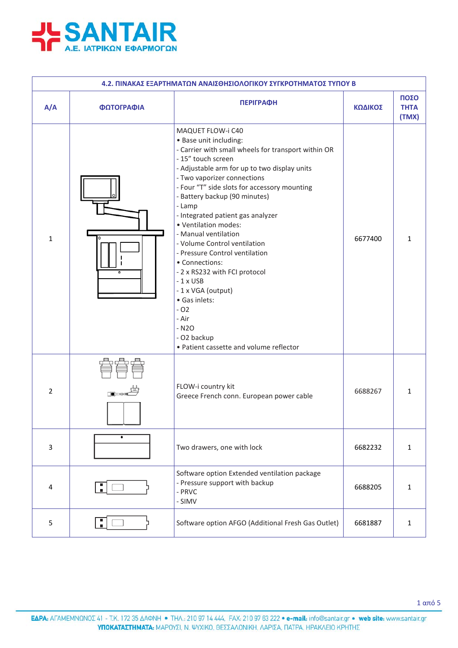

| 4.2. ΠΙΝΑΚΑΣ ΕΞΑΡΤΗΜΑΤΩΝ ΑΝΑΙΣΘΗΣΙΟΛΟΓΙΚΟΥ ΣΥΓΚΡΟΤΗΜΑΤΟΣ ΤΥΠΟΥ Β |            |                                                                                                                                                                                                                                                                                                                                                                                                                                                                                                                                                                                                                                                         |         |                              |  |
|------------------------------------------------------------------|------------|---------------------------------------------------------------------------------------------------------------------------------------------------------------------------------------------------------------------------------------------------------------------------------------------------------------------------------------------------------------------------------------------------------------------------------------------------------------------------------------------------------------------------------------------------------------------------------------------------------------------------------------------------------|---------|------------------------------|--|
| A/A                                                              | ΦΩΤΟΓΡΑΦΙΑ | <b>ПЕРІГРАФН</b>                                                                                                                                                                                                                                                                                                                                                                                                                                                                                                                                                                                                                                        | ΚΩΔΙΚΟΣ | ΠΟΣΟ<br><b>THTA</b><br>(TMX) |  |
| $\mathbf{1}$                                                     | ۰          | MAQUET FLOW-i C40<br>· Base unit including:<br>- Carrier with small wheels for transport within OR<br>- 15" touch screen<br>- Adjustable arm for up to two display units<br>- Two vaporizer connections<br>- Four "T" side slots for accessory mounting<br>- Battery backup (90 minutes)<br>- Lamp<br>- Integrated patient gas analyzer<br>· Ventilation modes:<br>- Manual ventilation<br>- Volume Control ventilation<br>- Pressure Control ventilation<br>• Connections:<br>- 2 x RS232 with FCI protocol<br>$-1$ x USB<br>- 1 x VGA (output)<br>· Gas inlets:<br>$-02$<br>- Air<br>$-N2O$<br>- O2 backup<br>• Patient cassette and volume reflector | 6677400 | 1                            |  |
| 2                                                                |            | FLOW-i country kit<br>Greece French conn. European power cable                                                                                                                                                                                                                                                                                                                                                                                                                                                                                                                                                                                          | 6688267 | $\mathbf{1}$                 |  |
| $\overline{3}$                                                   |            | Two drawers, one with lock                                                                                                                                                                                                                                                                                                                                                                                                                                                                                                                                                                                                                              | 6682232 | $\mathbf 1$                  |  |
| 4                                                                | H          | Software option Extended ventilation package<br>- Pressure support with backup<br>- PRVC<br>- SIMV                                                                                                                                                                                                                                                                                                                                                                                                                                                                                                                                                      | 6688205 | $\mathbf{1}$                 |  |
| 5                                                                |            | Software option AFGO (Additional Fresh Gas Outlet)                                                                                                                                                                                                                                                                                                                                                                                                                                                                                                                                                                                                      | 6681887 | $\mathbf{1}$                 |  |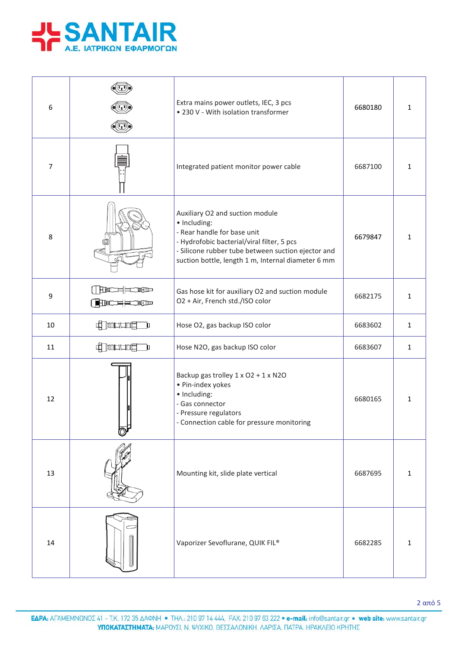

| 6              |                                        | Extra mains power outlets, IEC, 3 pcs<br>• 230 V - With isolation transformer                                                                                                                                                            | 6680180 | $\mathbf{1}$ |
|----------------|----------------------------------------|------------------------------------------------------------------------------------------------------------------------------------------------------------------------------------------------------------------------------------------|---------|--------------|
| $\overline{7}$ |                                        | Integrated patient monitor power cable                                                                                                                                                                                                   | 6687100 | $\mathbf{1}$ |
| 8              |                                        | Auxiliary O2 and suction module<br>· Including:<br>- Rear handle for base unit<br>- Hydrofobic bacterial/viral filter, 5 pcs<br>- Silicone rubber tube between suction ejector and<br>suction bottle, length 1 m, Internal diameter 6 mm | 6679847 | $\mathbf{1}$ |
| 9              | <b>RNOCOCOCOCOCO</b><br>( <b>HED==</b> | Gas hose kit for auxiliary O2 and suction module<br>O2 + Air, French std./ISO color                                                                                                                                                      | 6682175 | $\mathbf{1}$ |
| 10             | 中国中国                                   | Hose O2, gas backup ISO color                                                                                                                                                                                                            | 6683602 | $\mathbf 1$  |
| 11             | <b>Charles</b><br>$\mathbf{p}$         | Hose N2O, gas backup ISO color                                                                                                                                                                                                           | 6683607 | $\mathbf{1}$ |
| 12             |                                        | Backup gas trolley 1 x O2 + 1 x N2O<br>· Pin-index yokes<br>· Including:<br>- Gas connector<br>- Pressure regulators<br>- Connection cable for pressure monitoring                                                                       | 6680165 | $\mathbf{1}$ |
| 13             |                                        | Mounting kit, slide plate vertical                                                                                                                                                                                                       | 6687695 | 1            |
| 14             |                                        | Vaporizer Sevoflurane, QUIK FIL®                                                                                                                                                                                                         | 6682285 | $\mathbf{1}$ |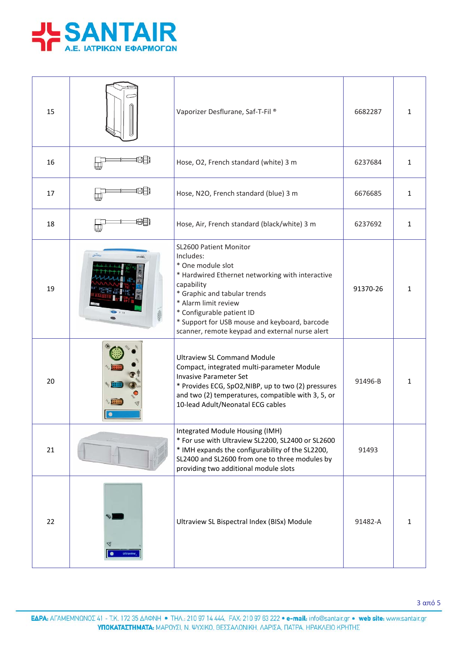

| 15 |   | Vaporizer Desflurane, Saf-T-Fil <sup>®</sup>                                                                                                                                                                                                                                                                        | 6682287  | 1            |
|----|---|---------------------------------------------------------------------------------------------------------------------------------------------------------------------------------------------------------------------------------------------------------------------------------------------------------------------|----------|--------------|
| 16 |   | Hose, O2, French standard (white) 3 m                                                                                                                                                                                                                                                                               | 6237684  | $\mathbf{1}$ |
| 17 |   | Hose, N2O, French standard (blue) 3 m                                                                                                                                                                                                                                                                               | 6676685  | 1            |
| 18 |   | Hose, Air, French standard (black/white) 3 m                                                                                                                                                                                                                                                                        | 6237692  | $\mathbf{1}$ |
| 19 |   | SL2600 Patient Monitor<br>Includes:<br>* One module slot<br>* Hardwired Ethernet networking with interactive<br>capability<br>* Graphic and tabular trends<br>* Alarm limit review<br>* Configurable patient ID<br>* Support for USB mouse and keyboard, barcode<br>scanner, remote keypad and external nurse alert | 91370-26 | 1            |
| 20 | ٠ | <b>Ultraview SL Command Module</b><br>Compact, integrated multi-parameter Module<br><b>Invasive Parameter Set</b><br>* Provides ECG, SpO2, NIBP, up to two (2) pressures<br>and two (2) temperatures, compatible with 3, 5, or<br>10-lead Adult/Neonatal ECG cables                                                 | 91496-B  | $\mathbf{1}$ |
| 21 |   | Integrated Module Housing (IMH)<br>* For use with Ultraview SL2200, SL2400 or SL2600<br>* IMH expands the configurability of the SL2200,<br>SL2400 and SL2600 from one to three modules by<br>providing two additional module slots                                                                                 | 91493    |              |
| 22 |   | Ultraview SL Bispectral Index (BISx) Module                                                                                                                                                                                                                                                                         | 91482-A  | 1            |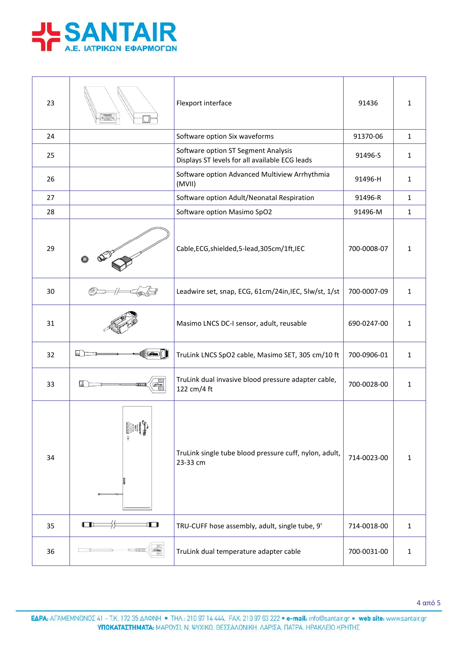

| 23 |                   | Flexport interface                                                                    | 91436       | 1            |
|----|-------------------|---------------------------------------------------------------------------------------|-------------|--------------|
| 24 |                   | Software option Six waveforms                                                         | 91370-06    | $\mathbf{1}$ |
| 25 |                   | Software option ST Segment Analysis<br>Displays ST levels for all available ECG leads | 91496-S     | $\mathbf{1}$ |
| 26 |                   | Software option Advanced Multiview Arrhythmia<br>(MVII)                               | 91496-H     | $\mathbf{1}$ |
| 27 |                   | Software option Adult/Neonatal Respiration                                            | 91496-R     | $\mathbf{1}$ |
| 28 |                   | Software option Masimo SpO2                                                           | 91496-M     | $\mathbf{1}$ |
| 29 |                   | Cable, ECG, shielded, 5-lead, 305cm/1ft, IEC                                          | 700-0008-07 | 1            |
| 30 |                   | Leadwire set, snap, ECG, 61cm/24in, IEC, 5lw/st, 1/st                                 | 700-0007-09 | $\mathbf{1}$ |
| 31 |                   | Masimo LNCS DC-I sensor, adult, reusable                                              | 690-0247-00 | $\mathbf{1}$ |
| 32 | н                 | TruLink LNCS SpO2 cable, Masimo SET, 305 cm/10 ft                                     | 700-0906-01 | $\mathbf{1}$ |
| 33 |                   | TruLink dual invasive blood pressure adapter cable,<br>122 cm/4 ft                    | 700-0028-00 | $\mathbf{1}$ |
| 34 | Spacement Running | TruLink single tube blood pressure cuff, nylon, adult,<br>23-33 cm                    | 714-0023-00 | $\mathbf{1}$ |
| 35 | œ<br>O            | TRU-CUFF hose assembly, adult, single tube, 9'                                        | 714-0018-00 | $\mathbf{1}$ |
| 36 |                   | TruLink dual temperature adapter cable                                                | 700-0031-00 | $\mathbf{1}$ |